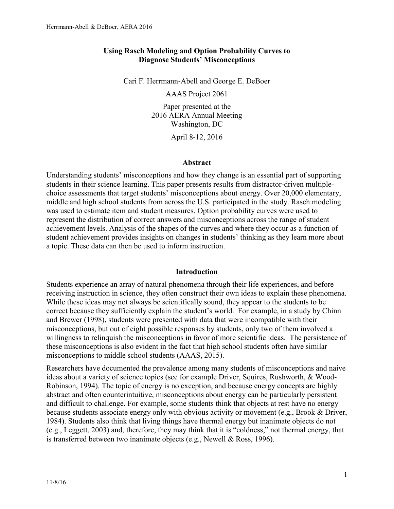### **Using Rasch Modeling and Option Probability Curves to Diagnose Students' Misconceptions**

Cari F. Herrmann-Abell and George E. DeBoer

AAAS Project 2061

Paper presented at the 2016 AERA Annual Meeting Washington, DC

April 8-12, 2016

#### **Abstract**

Understanding students' misconceptions and how they change is an essential part of supporting students in their science learning. This paper presents results from distractor-driven multiplechoice assessments that target students' misconceptions about energy. Over 20,000 elementary, middle and high school students from across the U.S. participated in the study. Rasch modeling was used to estimate item and student measures. Option probability curves were used to represent the distribution of correct answers and misconceptions across the range of student achievement levels. Analysis of the shapes of the curves and where they occur as a function of student achievement provides insights on changes in students' thinking as they learn more about a topic. These data can then be used to inform instruction.

#### **Introduction**

Students experience an array of natural phenomena through their life experiences, and before receiving instruction in science, they often construct their own ideas to explain these phenomena. While these ideas may not always be scientifically sound, they appear to the students to be correct because they sufficiently explain the student's world. For example, in a study by Chinn and Brewer (1998), students were presented with data that were incompatible with their misconceptions, but out of eight possible responses by students, only two of them involved a willingness to relinquish the misconceptions in favor of more scientific ideas. The persistence of these misconceptions is also evident in the fact that high school students often have similar misconceptions to middle school students (AAAS, 2015).

Researchers have documented the prevalence among many students of misconceptions and naive ideas about a variety of science topics (see for example Driver, Squires, Rushworth, & Wood-Robinson, 1994). The topic of energy is no exception, and because energy concepts are highly abstract and often counterintuitive, misconceptions about energy can be particularly persistent and difficult to challenge. For example, some students think that objects at rest have no energy because students associate energy only with obvious activity or movement (e.g., Brook & Driver, 1984). Students also think that living things have thermal energy but inanimate objects do not (e.g., Leggett, 2003) and, therefore, they may think that it is "coldness," not thermal energy, that is transferred between two inanimate objects (e.g., Newell & Ross, 1996).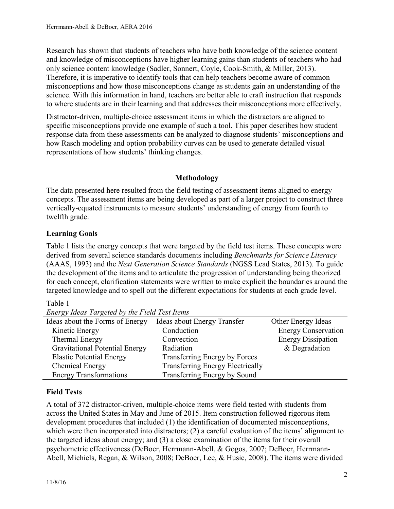Research has shown that students of teachers who have both knowledge of the science content and knowledge of misconceptions have higher learning gains than students of teachers who had only science content knowledge (Sadler, Sonnert, Coyle, Cook-Smith, & Miller, 2013). Therefore, it is imperative to identify tools that can help teachers become aware of common misconceptions and how those misconceptions change as students gain an understanding of the science. With this information in hand, teachers are better able to craft instruction that responds to where students are in their learning and that addresses their misconceptions more effectively.

Distractor-driven, multiple-choice assessment items in which the distractors are aligned to specific misconceptions provide one example of such a tool. This paper describes how student response data from these assessments can be analyzed to diagnose students' misconceptions and how Rasch modeling and option probability curves can be used to generate detailed visual representations of how students' thinking changes.

## **Methodology**

The data presented here resulted from the field testing of assessment items aligned to energy concepts. The assessment items are being developed as part of a larger project to construct three vertically-equated instruments to measure students' understanding of energy from fourth to twelfth grade.

## **Learning Goals**

Table 1 lists the energy concepts that were targeted by the field test items. These concepts were derived from several science standards documents including *Benchmarks for Science Literacy* (AAAS, 1993) and the *Next Generation Science Standards* (NGSS Lead States, 2013). To guide the development of the items and to articulate the progression of understanding being theorized for each concept, clarification statements were written to make explicit the boundaries around the targeted knowledge and to spell out the different expectations for students at each grade level.

## Table 1

| Ideas about the Forms of Energy       | Ideas about Energy Transfer             | Other Energy Ideas         |
|---------------------------------------|-----------------------------------------|----------------------------|
| Kinetic Energy                        | Conduction                              | <b>Energy Conservation</b> |
| Thermal Energy                        | Convection                              | <b>Energy Dissipation</b>  |
| <b>Gravitational Potential Energy</b> | Radiation                               | & Degradation              |
| <b>Elastic Potential Energy</b>       | Transferring Energy by Forces           |                            |
| <b>Chemical Energy</b>                | <b>Transferring Energy Electrically</b> |                            |
| <b>Energy Transformations</b>         | Transferring Energy by Sound            |                            |
|                                       |                                         |                            |

*Energy Ideas Targeted by the Field Test Items*

# **Field Tests**

A total of 372 distractor-driven, multiple-choice items were field tested with students from across the United States in May and June of 2015. Item construction followed rigorous item development procedures that included (1) the identification of documented misconceptions, which were then incorporated into distractors; (2) a careful evaluation of the items' alignment to the targeted ideas about energy; and (3) a close examination of the items for their overall psychometric effectiveness (DeBoer, Herrmann-Abell, & Gogos, 2007; DeBoer, Herrmann-Abell, Michiels, Regan, & Wilson, 2008; DeBoer, Lee, & Husic, 2008). The items were divided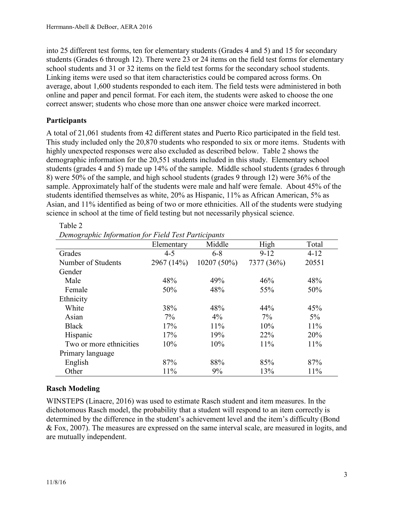into 25 different test forms, ten for elementary students (Grades 4 and 5) and 15 for secondary students (Grades 6 through 12). There were 23 or 24 items on the field test forms for elementary school students and 31 or 32 items on the field test forms for the secondary school students. Linking items were used so that item characteristics could be compared across forms. On average, about 1,600 students responded to each item. The field tests were administered in both online and paper and pencil format. For each item, the students were asked to choose the one correct answer; students who chose more than one answer choice were marked incorrect.

## **Participants**

A total of 21,061 students from 42 different states and Puerto Rico participated in the field test. This study included only the 20,870 students who responded to six or more items. Students with highly unexpected responses were also excluded as described below. Table 2 shows the demographic information for the 20,551 students included in this study. Elementary school students (grades 4 and 5) made up 14% of the sample. Middle school students (grades 6 through 8) were 50% of the sample, and high school students (grades 9 through 12) were 36% of the sample. Approximately half of the students were male and half were female. About 45% of the students identified themselves as white, 20% as Hispanic, 11% as African American, 5% as Asian, and 11% identified as being of two or more ethnicities. All of the students were studying science in school at the time of field testing but not necessarily physical science.

Elementary Middle High Total Grades 4-5 6-8 9-12 4-12 Number of Students 2967 (14%) 10207 (50%) 7377 (36%) 20551 Gender Male  $48\%$   $49\%$   $46\%$   $48\%$ Female  $50\%$   $48\%$   $55\%$   $50\%$ Ethnicity White  $38\%$   $48\%$   $44\%$   $45\%$ Asian  $7\%$   $4\%$   $7\%$   $5\%$ Black 17% 11% 10% 10% 11% Hispanic 17% 19% 22% 20% Two or more ethnicities  $10\%$   $10\%$   $11\%$   $11\%$ Primary language English 87% 88% 85% 87% Other 11% 9% 13% 11%

Table 2 *Demographic Information for Field Test Participants*

# **Rasch Modeling**

WINSTEPS (Linacre, 2016) was used to estimate Rasch student and item measures. In the dichotomous Rasch model, the probability that a student will respond to an item correctly is determined by the difference in the student's achievement level and the item's difficulty (Bond & Fox, 2007). The measures are expressed on the same interval scale, are measured in logits, and are mutually independent.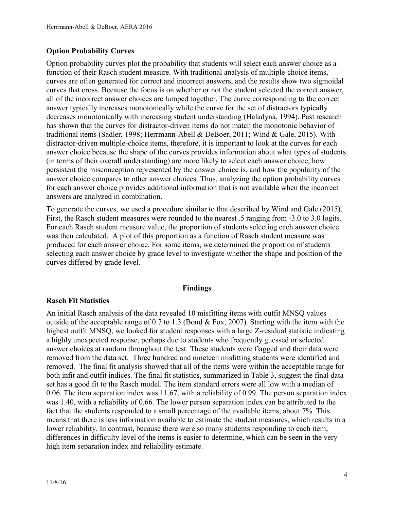## **Option Probability Curves**

Option probability curves plot the probability that students will select each answer choice as a function of their Rasch student measure. With traditional analysis of multiple-choice items, curves are often generated for correct and incorrect answers, and the results show two sigmoidal curves that cross. Because the focus is on whether or not the student selected the correct answer, all of the incorrect answer choices are lumped together. The curve corresponding to the correct answer typically increases monotonically while the curve for the set of distractors typically decreases monotonically with increasing student understanding (Haladyna, 1994). Past research has shown that the curves for distractor-driven items do not match the monotonic behavior of traditional items (Sadler, 1998; Herrmann-Abell & DeBoer, 2011; Wind & Gale, 2015). With distractor-driven multiple-choice items, therefore, it is important to look at the curves for each answer choice because the shape of the curves provides information about what types of students (in terms of their overall understanding) are more likely to select each answer choice, how persistent the misconception represented by the answer choice is, and how the popularity of the answer choice compares to other answer choices. Thus, analyzing the option probability curves for each answer choice provides additional information that is not available when the incorrect answers are analyzed in combination.

To generate the curves, we used a procedure similar to that described by Wind and Gale (2015). First, the Rasch student measures were rounded to the nearest .5 ranging from -3.0 to 3.0 logits. For each Rasch student measure value, the proportion of students selecting each answer choice was then calculated. A plot of this proportion as a function of Rasch student measure was produced for each answer choice. For some items, we determined the proportion of students selecting each answer choice by grade level to investigate whether the shape and position of the curves differed by grade level.

#### **Findings**

## **Rasch Fit Statistics**

An initial Rasch analysis of the data revealed 10 misfitting items with outfit MNSQ values outside of the acceptable range of 0.7 to 1.3 (Bond  $&$  Fox, 2007). Starting with the item with the highest outfit MNSQ, we looked for student responses with a large Z-residual statistic indicating a highly unexpected response, perhaps due to students who frequently guessed or selected answer choices at random throughout the test. These students were flagged and their data were removed from the data set. Three hundred and nineteen misfitting students were identified and removed. The final fit analysis showed that all of the items were within the acceptable range for both infit and outfit indices. The final fit statistics, summarized in Table 3, suggest the final data set has a good fit to the Rasch model. The item standard errors were all low with a median of 0.06. The item separation index was 11.67, with a reliability of 0.99. The person separation index was 1.40, with a reliability of 0.66. The lower person separation index can be attributed to the fact that the students responded to a small percentage of the available items, about 7%. This means that there is less information available to estimate the student measures, which results in a lower reliability. In contrast, because there were so many students responding to each item, differences in difficulty level of the items is easier to determine, which can be seen in the very high item separation index and reliability estimate.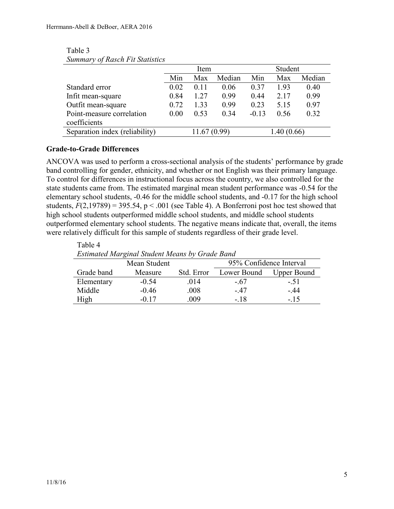|                                | Item |       | Student |         |            |        |
|--------------------------------|------|-------|---------|---------|------------|--------|
|                                | Min  | Max   | Median  | Min     | Max        | Median |
| Standard error                 | 0.02 | 0.11  | 0.06    | 0.37    | 1.93       | 0.40   |
| Infit mean-square              | 0.84 | 1.27  | 0.99    | 0.44    | 2.17       | 0.99   |
| Outfit mean-square             | 0.72 | 1.33  | 0.99    | 0.23    | 5.15       | 0.97   |
| Point-measure correlation      | 0.00 | 0.53  | 0.34    | $-0.13$ | 0.56       | 0.32   |
| coefficients                   |      |       |         |         |            |        |
| Separation index (reliability) |      | 11.67 | (0.99)  |         | 1.40(0.66) |        |
|                                |      |       |         |         |            |        |

#### Table 3 *Summary of Rasch Fit Statistics*

## **Grade-to-Grade Differences**

ANCOVA was used to perform a cross-sectional analysis of the students' performance by grade band controlling for gender, ethnicity, and whether or not English was their primary language. To control for differences in instructional focus across the country, we also controlled for the state students came from. The estimated marginal mean student performance was -0.54 for the elementary school students, -0.46 for the middle school students, and -0.17 for the high school students,  $F(2,19789) = 395.54$ ,  $p < .001$  (see Table 4). A Bonferroni post hoc test showed that high school students outperformed middle school students, and middle school students outperformed elementary school students. The negative means indicate that, overall, the items were relatively difficult for this sample of students regardless of their grade level.

Table 4 *Estimated Marginal Student Means by Grade Band* Moon Student 95% Confidence Interval

| Nicali Studelit |         |            | 7970 COMMUNICO MILLEVAI |                    |  |
|-----------------|---------|------------|-------------------------|--------------------|--|
| Grade band      | Measure | Std. Error | Lower Bound             | <b>Upper Bound</b> |  |
| Elementary      | $-0.54$ | 014        | $-67$                   | $-51$              |  |
| Middle          | $-0.46$ | .008       | - 47                    | $-44$              |  |
| High            | $-0.17$ | 009        | - 18                    | $-15$              |  |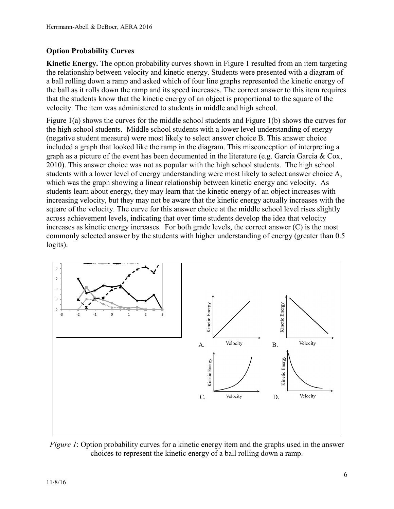# **Option Probability Curves**

**Kinetic Energy.** The option probability curves shown in Figure 1 resulted from an item targeting the relationship between velocity and kinetic energy. Students were presented with a diagram of a ball rolling down a ramp and asked which of four line graphs represented the kinetic energy of the ball as it rolls down the ramp and its speed increases. The correct answer to this item requires that the students know that the kinetic energy of an object is proportional to the square of the velocity. The item was administered to students in middle and high school.

Figure 1(a) shows the curves for the middle school students and Figure 1(b) shows the curves for the high school students. Middle school students with a lower level understanding of energy (negative student measure) were most likely to select answer choice B. This answer choice included a graph that looked like the ramp in the diagram. This misconception of interpreting a graph as a picture of the event has been documented in the literature (e.g. Garcia Garcia & Cox, 2010). This answer choice was not as popular with the high school students. The high school students with a lower level of energy understanding were most likely to select answer choice A, which was the graph showing a linear relationship between kinetic energy and velocity. As students learn about energy, they may learn that the kinetic energy of an object increases with increasing velocity, but they may not be aware that the kinetic energy actually increases with the square of the velocity. The curve for this answer choice at the middle school level rises slightly across achievement levels, indicating that over time students develop the idea that velocity increases as kinetic energy increases. For both grade levels, the correct answer (C) is the most commonly selected answer by the students with higher understanding of energy (greater than 0.5 logits).



*Figure 1*: Option probability curves for a kinetic energy item and the graphs used in the answer choices to represent the kinetic energy of a ball rolling down a ramp.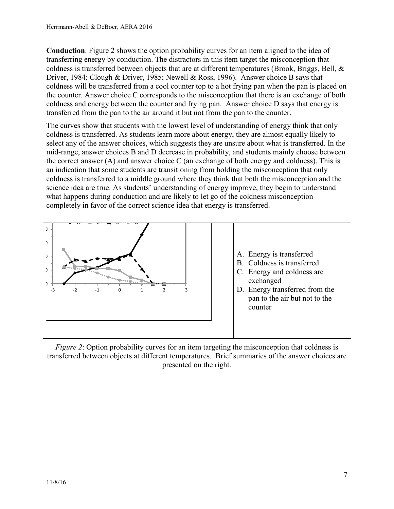**Conduction**. Figure 2 shows the option probability curves for an item aligned to the idea of transferring energy by conduction. The distractors in this item target the misconception that coldness is transferred between objects that are at different temperatures (Brook, Briggs, Bell, & Driver, 1984; Clough & Driver, 1985; Newell & Ross, 1996). Answer choice B says that coldness will be transferred from a cool counter top to a hot frying pan when the pan is placed on the counter. Answer choice C corresponds to the misconception that there is an exchange of both coldness and energy between the counter and frying pan. Answer choice D says that energy is transferred from the pan to the air around it but not from the pan to the counter.

The curves show that students with the lowest level of understanding of energy think that only coldness is transferred. As students learn more about energy, they are almost equally likely to select any of the answer choices, which suggests they are unsure about what is transferred. In the mid-range, answer choices B and D decrease in probability, and students mainly choose between the correct answer (A) and answer choice C (an exchange of both energy and coldness). This is an indication that some students are transitioning from holding the misconception that only coldness is transferred to a middle ground where they think that both the misconception and the science idea are true. As students' understanding of energy improve, they begin to understand what happens during conduction and are likely to let go of the coldness misconception completely in favor of the correct science idea that energy is transferred.



*Figure 2*: Option probability curves for an item targeting the misconception that coldness is transferred between objects at different temperatures. Brief summaries of the answer choices are presented on the right.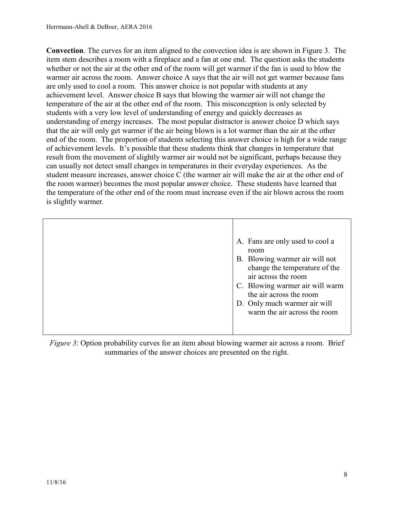**Convection**. The curves for an item aligned to the convection idea is are shown in Figure 3. The item stem describes a room with a fireplace and a fan at one end. The question asks the students whether or not the air at the other end of the room will get warmer if the fan is used to blow the warmer air across the room. Answer choice A says that the air will not get warmer because fans are only used to cool a room. This answer choice is not popular with students at any achievement level. Answer choice B says that blowing the warmer air will not change the temperature of the air at the other end of the room. This misconception is only selected by students with a very low level of understanding of energy and quickly decreases as understanding of energy increases. The most popular distractor is answer choice D which says that the air will only get warmer if the air being blown is a lot warmer than the air at the other end of the room. The proportion of students selecting this answer choice is high for a wide range of achievement levels. It's possible that these students think that changes in temperature that result from the movement of slightly warmer air would not be significant, perhaps because they can usually not detect small changes in temperatures in their everyday experiences. As the student measure increases, answer choice C (the warmer air will make the air at the other end of the room warmer) becomes the most popular answer choice. These students have learned that the temperature of the other end of the room must increase even if the air blown across the room is slightly warmer.

| A. Fans are only used to cool a<br>room<br>B. Blowing warmer air will not<br>change the temperature of the<br>air across the room<br>C. Blowing warmer air will warm<br>the air across the room<br>D. Only much warmer air will<br>warm the air across the room |
|-----------------------------------------------------------------------------------------------------------------------------------------------------------------------------------------------------------------------------------------------------------------|
|                                                                                                                                                                                                                                                                 |

*Figure 3*: Option probability curves for an item about blowing warmer air across a room. Brief summaries of the answer choices are presented on the right.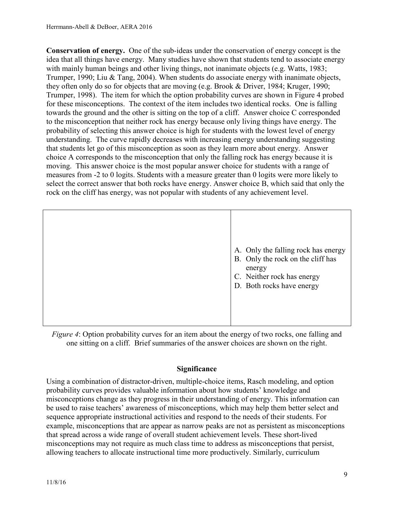**Conservation of energy.** One of the sub-ideas under the conservation of energy concept is the idea that all things have energy. Many studies have shown that students tend to associate energy with mainly human beings and other living things, not inanimate objects (e.g. Watts, 1983; Trumper, 1990; Liu & Tang, 2004). When students do associate energy with inanimate objects, they often only do so for objects that are moving (e.g. Brook & Driver, 1984; Kruger, 1990; Trumper, 1998). The item for which the option probability curves are shown in Figure 4 probed for these misconceptions. The context of the item includes two identical rocks. One is falling towards the ground and the other is sitting on the top of a cliff. Answer choice C corresponded to the misconception that neither rock has energy because only living things have energy. The probability of selecting this answer choice is high for students with the lowest level of energy understanding. The curve rapidly decreases with increasing energy understanding suggesting that students let go of this misconception as soon as they learn more about energy. Answer choice A corresponds to the misconception that only the falling rock has energy because it is moving. This answer choice is the most popular answer choice for students with a range of measures from -2 to 0 logits. Students with a measure greater than 0 logits were more likely to select the correct answer that both rocks have energy. Answer choice B, which said that only the rock on the cliff has energy, was not popular with students of any achievement level.

|  | A. Only the falling rock has energy<br>B. Only the rock on the cliff has<br>energy<br>C. Neither rock has energy<br>D. Both rocks have energy |
|--|-----------------------------------------------------------------------------------------------------------------------------------------------|
|--|-----------------------------------------------------------------------------------------------------------------------------------------------|

*Figure 4*: Option probability curves for an item about the energy of two rocks, one falling and one sitting on a cliff. Brief summaries of the answer choices are shown on the right.

## **Significance**

Using a combination of distractor-driven, multiple-choice items, Rasch modeling, and option probability curves provides valuable information about how students' knowledge and misconceptions change as they progress in their understanding of energy. This information can be used to raise teachers' awareness of misconceptions, which may help them better select and sequence appropriate instructional activities and respond to the needs of their students. For example, misconceptions that are appear as narrow peaks are not as persistent as misconceptions that spread across a wide range of overall student achievement levels. These short-lived misconceptions may not require as much class time to address as misconceptions that persist, allowing teachers to allocate instructional time more productively. Similarly, curriculum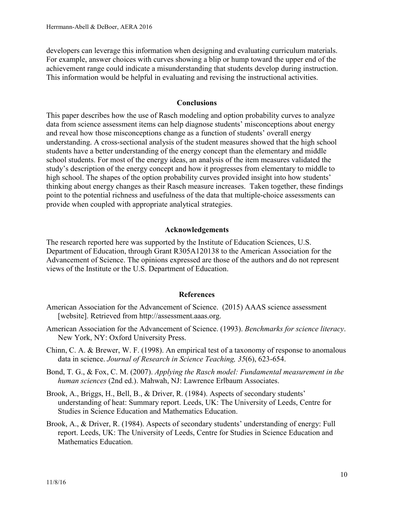developers can leverage this information when designing and evaluating curriculum materials. For example, answer choices with curves showing a blip or hump toward the upper end of the achievement range could indicate a misunderstanding that students develop during instruction. This information would be helpful in evaluating and revising the instructional activities.

#### **Conclusions**

This paper describes how the use of Rasch modeling and option probability curves to analyze data from science assessment items can help diagnose students' misconceptions about energy and reveal how those misconceptions change as a function of students' overall energy understanding. A cross-sectional analysis of the student measures showed that the high school students have a better understanding of the energy concept than the elementary and middle school students. For most of the energy ideas, an analysis of the item measures validated the study's description of the energy concept and how it progresses from elementary to middle to high school. The shapes of the option probability curves provided insight into how students' thinking about energy changes as their Rasch measure increases. Taken together, these findings point to the potential richness and usefulness of the data that multiple-choice assessments can provide when coupled with appropriate analytical strategies.

### **Acknowledgements**

The research reported here was supported by the Institute of Education Sciences, U.S. Department of Education, through Grant R305A120138 to the American Association for the Advancement of Science. The opinions expressed are those of the authors and do not represent views of the Institute or the U.S. Department of Education.

#### **References**

- American Association for the Advancement of Science. (2015) AAAS science assessment [website]. Retrieved from http://assessment.aaas.org.
- American Association for the Advancement of Science. (1993). *Benchmarks for science literacy*. New York, NY: Oxford University Press.
- Chinn, C. A. & Brewer, W. F. (1998). An empirical test of a taxonomy of response to anomalous data in science. *Journal of Research in Science Teaching, 35*(6), 623-654.
- Bond, T. G., & Fox, C. M. (2007). *Applying the Rasch model: Fundamental measurement in the human sciences* (2nd ed.). Mahwah, NJ: Lawrence Erlbaum Associates.
- Brook, A., Briggs, H., Bell, B., & Driver, R. (1984). Aspects of secondary students' understanding of heat: Summary report. Leeds, UK: The University of Leeds, Centre for Studies in Science Education and Mathematics Education.
- Brook, A., & Driver, R. (1984). Aspects of secondary students' understanding of energy: Full report. Leeds, UK: The University of Leeds, Centre for Studies in Science Education and Mathematics Education.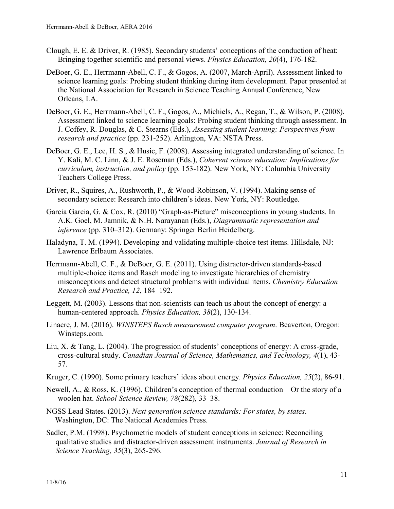- Clough, E. E. & Driver, R. (1985). Secondary students' conceptions of the conduction of heat: Bringing together scientific and personal views. *Physics Education, 20*(4), 176-182.
- DeBoer, G. E., Herrmann-Abell, C. F., & Gogos, A. (2007, March-April). Assessment linked to science learning goals: Probing student thinking during item development. Paper presented at the National Association for Research in Science Teaching Annual Conference, New Orleans, LA.
- DeBoer, G. E., Herrmann-Abell, C. F., Gogos, A., Michiels, A., Regan, T., & Wilson, P. (2008). Assessment linked to science learning goals: Probing student thinking through assessment. In J. Coffey, R. Douglas, & C. Stearns (Eds.), *Assessing student learning: Perspectives from research and practice* (pp. 231-252). Arlington, VA: NSTA Press.
- DeBoer, G. E., Lee, H. S., & Husic, F. (2008). Assessing integrated understanding of science. In Y. Kali, M. C. Linn, & J. E. Roseman (Eds.), *Coherent science education: Implications for curriculum, instruction, and policy* (pp. 153-182). New York, NY: Columbia University Teachers College Press.
- Driver, R., Squires, A., Rushworth, P., & Wood-Robinson, V. (1994). Making sense of secondary science: Research into children's ideas. New York, NY: Routledge.
- Garcia Garcia, G. & Cox, R. (2010) "Graph-as-Picture" misconceptions in young students. In A.K. Goel, M. Jamnik, & N.H. Narayanan (Eds.), *Diagrammatic representation and inference* (pp. 310–312). Germany: Springer Berlin Heidelberg.
- Haladyna, T. M. (1994). Developing and validating multiple-choice test items. Hillsdale, NJ: Lawrence Erlbaum Associates.
- Herrmann-Abell, C. F., & DeBoer, G. E. (2011). Using distractor-driven standards-based multiple-choice items and Rasch modeling to investigate hierarchies of chemistry misconceptions and detect structural problems with individual items. *Chemistry Education Research and Practice, 12*, 184–192.
- Leggett, M. (2003). Lessons that non-scientists can teach us about the concept of energy: a human-centered approach. *Physics Education, 38*(2), 130-134.
- Linacre, J. M. (2016). *WINSTEPS Rasch measurement computer program*. Beaverton, Oregon: Winsteps.com.
- Liu, X. & Tang, L. (2004). The progression of students' conceptions of energy: A cross-grade, cross-cultural study. *Canadian Journal of Science, Mathematics, and Technology, 4*(1), 43- 57.
- Kruger, C. (1990). Some primary teachers' ideas about energy. *Physics Education, 25*(2), 86-91.
- Newell, A., & Ross, K. (1996). Children's conception of thermal conduction Or the story of a woolen hat. *School Science Review, 78*(282), 33–38.
- NGSS Lead States. (2013). *Next generation science standards: For states, by states*. Washington, DC: The National Academies Press.
- Sadler, P.M. (1998). Psychometric models of student conceptions in science: Reconciling qualitative studies and distractor-driven assessment instruments. *Journal of Research in Science Teaching, 35*(3), 265-296.